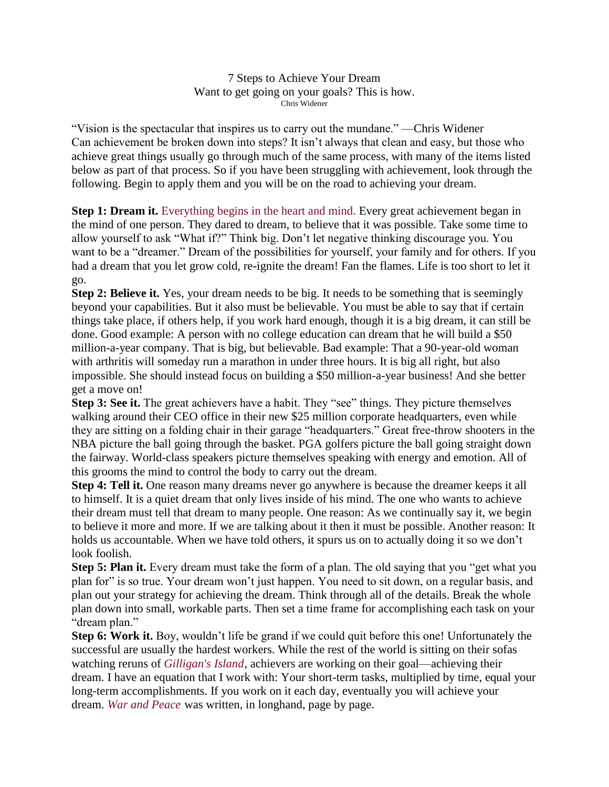7 Steps to Achieve Your Dream Want to get going on your goals? This is how. Chris Widener

"Vision is the spectacular that inspires us to carry out the mundane." —Chris Widener Can achievement be broken down into steps? It isn't always that clean and easy, but those who achieve great things usually go through much of the same process, with many of the items listed below as part of that process. So if you have been struggling with achievement, look through the following. Begin to apply them and you will be on the road to achieving your dream.

**Step 1: Dream it.** [Everything](http://www.success.com/article/napoleon-hills-17-principles-of-personal-achievement) begins in the heart and mind. Every great achievement began in the mind of one person. They dared to dream, to believe that it was possible. Take some time to allow yourself to ask "What if?" Think big. Don't let negative thinking discourage you. You want to be a "dreamer." Dream of the possibilities for yourself, your family and for others. If you had a dream that you let grow cold, re-ignite the dream! Fan the flames. Life is too short to let it go.

**Step 2: Believe it.** Yes, your dream needs to be big. It needs to be something that is seemingly beyond your capabilities. But it also must be believable. You must be able to say that if certain things take place, if others help, if you work hard enough, though it is a big dream, it can still be done. Good example: A person with no college education can dream that he will build a \$50 million-a-year company. That is big, but believable. Bad example: That a 90-year-old woman with arthritis will someday run a marathon in under three hours. It is big all right, but also impossible. She should instead focus on building a \$50 million-a-year business! And she better get a move on!

**Step 3: See it.** The great achievers have a habit. They "see" things. They picture themselves walking around their CEO office in their new \$25 million corporate headquarters, even while they are sitting on a folding chair in their garage "headquarters." Great free-throw shooters in the NBA picture the ball going through the basket. PGA golfers picture the ball going straight down the fairway. World-class speakers picture themselves speaking with energy and emotion. All of this grooms the mind to control the body to carry out the dream.

**Step 4: Tell it.** One reason many dreams never go anywhere is because the dreamer keeps it all to himself. It is a quiet dream that only lives inside of his mind. The one who wants to achieve their dream must tell that dream to many people. One reason: As we continually say it, we begin to believe it more and more. If we are talking about it then it must be possible. Another reason: It holds us accountable. When we have told others, it spurs us on to actually doing it so we don't look foolish.

**Step 5: Plan it.** Every dream must take the form of a plan. The old saying that you "get what you plan for" is so true. Your dream won't just happen. You need to sit down, on a regular basis, and plan out your strategy for achieving the dream. Think through all of the details. Break the whole plan down into small, workable parts. Then set a time frame for accomplishing each task on your "dream plan."

**Step 6: Work it.** Boy, wouldn't life be grand if we could quit before this one! Unfortunately the successful are usually the hardest workers. While the rest of the world is sitting on their sofas watching reruns of *[Gilligan's](http://www.amazon.com/gp/product/B0050MB5AC/ref=as_li_ss_tl?ie=UTF8&camp=1789&creative=390957&creativeASIN=B0050MB5AC&linkCode=as2&tag=sm0fe-20) Island*, achievers are working on their goal—achieving their dream. I have an equation that I work with: Your short-term tasks, multiplied by time, equal your long-term accomplishments. If you work on it each day, eventually you will achieve your dream. *War and [Peace](http://www.amazon.com/gp/product/1400079985/ref=as_li_ss_tl?ie=UTF8&camp=1789&creative=390957&creativeASIN=1400079985&linkCode=as2&tag=sm0fe-20)* was written, in longhand, page by page.